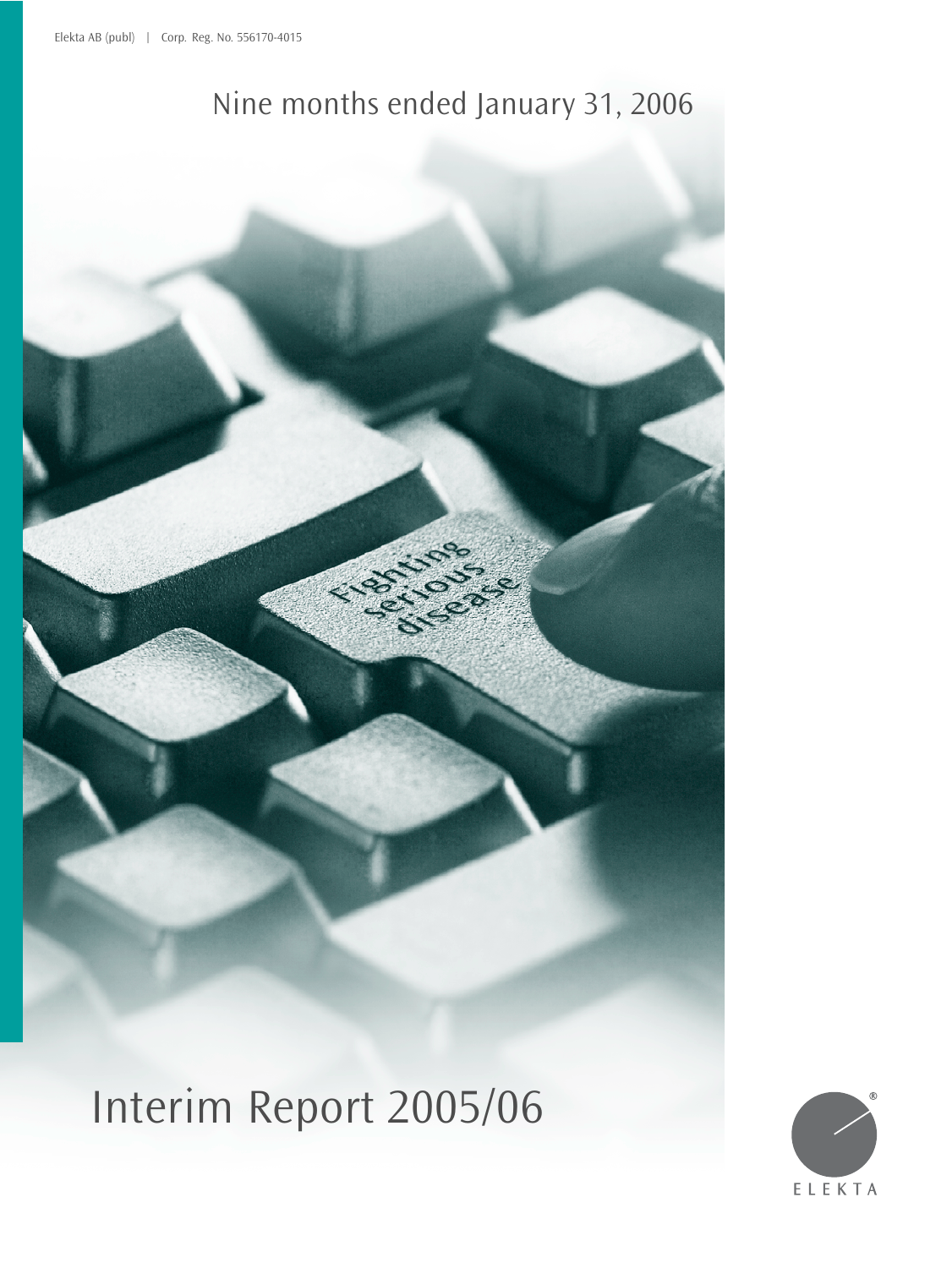## Nine months ended January 31, 2006

Interim Report 2005/06

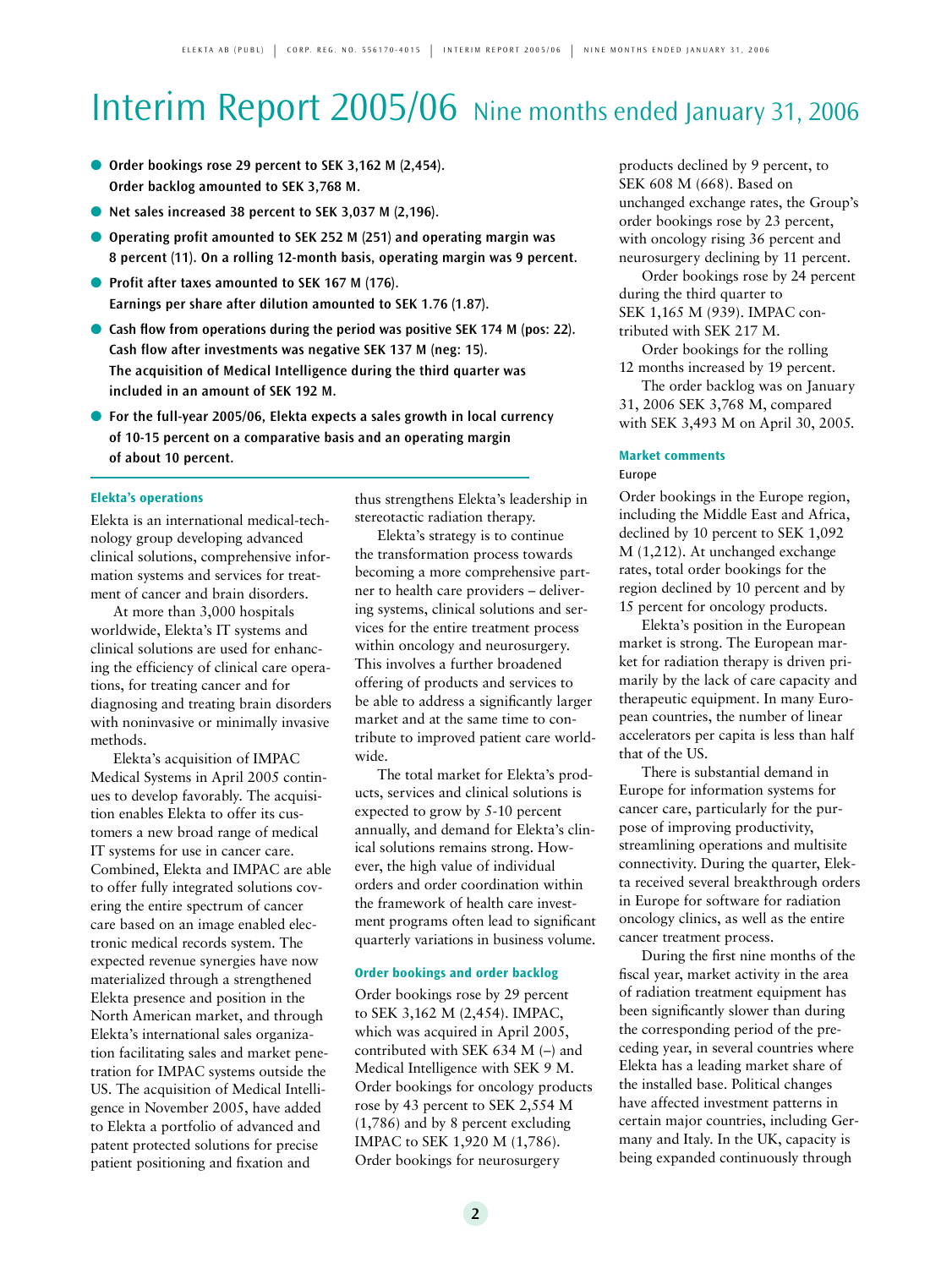# Interim Report 2005/06 Nine months ended January 31, 2006

- **Order bookings rose 29 percent to SEK 3.162 M (2.454). Order backlog amounted to SEK 3,768 M.**
- **Net sales increased 38 percent to SEK 3,037 M (2,196).**
- Operating profit amounted to SEK 252 M (251) and operating margin was **8 percent (11). On a rolling 12-month basis, operating margin was 9 percent.**
- **Profit after taxes amounted to SEK 167 M (176). Earnings per share after dilution amounted to SEK 1.76 (1.87).**
- **Cash flow from operations during the period was positive SEK 174 M (pos: 22). Cash flow after investments was negative SEK 137 M (neg: 15). The acquisition of Medical Intelligence during the third quarter was included in an amount of SEK 192 M.**
- For the full-year 2005/06, Elekta expects a sales growth in local currency **of 10-15 percent on a comparative basis and an operating margin of about 10 percent.**

### **Elekta's operations**

Elekta is an international medical-technology group developing advanced clinical solutions, comprehensive information systems and services for treatment of cancer and brain disorders.

At more than 3,000 hospitals worldwide, Elekta's IT systems and clinical solutions are used for enhancing the efficiency of clinical care operations, for treating cancer and for diagnosing and treating brain disorders with noninvasive or minimally invasive methods.

Elekta's acquisition of IMPAC Medical Systems in April 2005 continues to develop favorably. The acquisition enables Elekta to offer its customers a new broad range of medical IT systems for use in cancer care. Combined, Elekta and IMPAC are able to offer fully integrated solutions covering the entire spectrum of cancer care based on an image enabled electronic medical records system. The expected revenue synergies have now materialized through a strengthened Elekta presence and position in the North American market, and through Elekta's international sales organization facilitating sales and market penetration for IMPAC systems outside the US. The acquisition of Medical Intelligence in November 2005, have added to Elekta a portfolio of advanced and patent protected solutions for precise patient positioning and fixation and

thus strengthens Elekta's leadership in stereotactic radiation therapy.

Elekta's strategy is to continue the transformation process towards becoming a more comprehensive partner to health care providers – delivering systems, clinical solutions and services for the entire treatment process within oncology and neurosurgery. This involves a further broadened offering of products and services to be able to address a significantly larger market and at the same time to contribute to improved patient care worldwide.

The total market for Elekta's products, services and clinical solutions is expected to grow by 5-10 percent annually, and demand for Elekta's clinical solutions remains strong. However, the high value of individual orders and order coordination within the framework of health care investment programs often lead to significant quarterly variations in business volume.

### **Order bookings and order backlog**

Order bookings rose by 29 percent to SEK 3,162 M (2,454). IMPAC, which was acquired in April 2005, contributed with SEK 634 M (–) and Medical Intelligence with SEK 9 M. Order bookings for oncology products rose by 43 percent to SEK 2,554 M (1,786) and by 8 percent excluding IMPAC to SEK 1,920 M (1,786). Order bookings for neurosurgery

products declined by 9 percent, to SEK 608 M (668). Based on unchanged exchange rates, the Group's order bookings rose by 23 percent, with oncology rising 36 percent and neurosurgery declining by 11 percent.

Order bookings rose by 24 percent during the third quarter to SEK 1,165 M (939). IMPAC contributed with SEK 217 M.

Order bookings for the rolling 12 months increased by 19 percent.

The order backlog was on January 31, 2006 SEK 3,768 M, compared with SEK 3,493 M on April 30, 2005.

#### **Market comments**  Europe

Order bookings in the Europe region, including the Middle East and Africa, declined by 10 percent to SEK 1,092 M (1,212). At unchanged exchange rates, total order bookings for the region declined by 10 percent and by 15 percent for oncology products.

Elekta's position in the European market is strong. The European market for radiation therapy is driven primarily by the lack of care capacity and therapeutic equipment. In many European countries, the number of linear accelerators per capita is less than half that of the US.

There is substantial demand in Europe for information systems for cancer care, particularly for the purpose of improving productivity, streamlining operations and multisite connectivity. During the quarter, Elekta received several breakthrough orders in Europe for software for radiation oncology clinics, as well as the entire cancer treatment process.

During the first nine months of the fiscal year, market activity in the area of radiation treatment equipment has been significantly slower than during the corresponding period of the preceding year, in several countries where Elekta has a leading market share of the installed base. Political changes have affected investment patterns in certain major countries, including Germany and Italy. In the UK, capacity is being expanded continuously through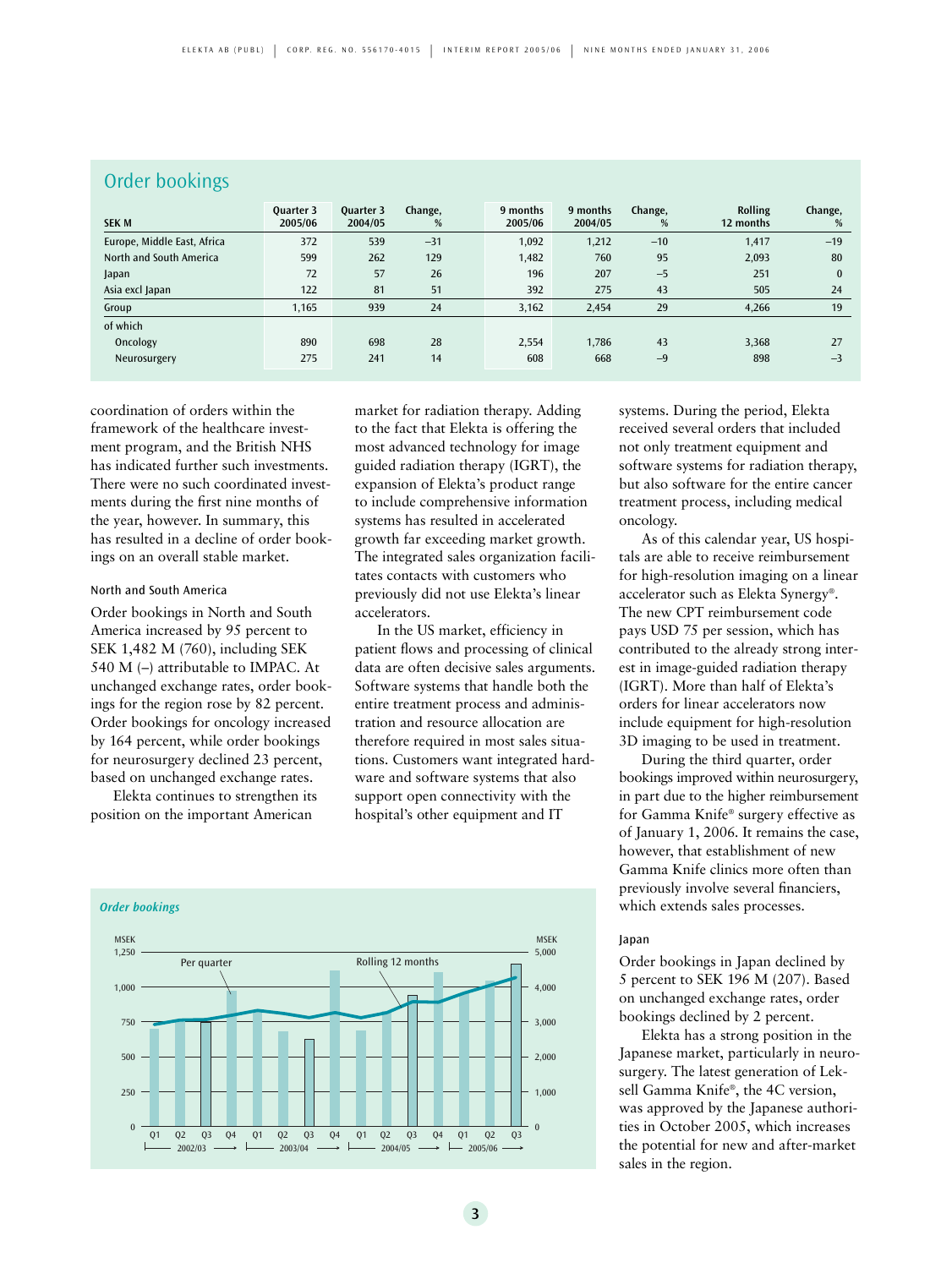| Order bookings              |                             |                             |              |                     |                     |              |                      |              |  |
|-----------------------------|-----------------------------|-----------------------------|--------------|---------------------|---------------------|--------------|----------------------|--------------|--|
| <b>SEK M</b>                | <b>Ouarter 3</b><br>2005/06 | <b>Ouarter 3</b><br>2004/05 | Change,<br>% | 9 months<br>2005/06 | 9 months<br>2004/05 | Change,<br>% | Rolling<br>12 months | Change,<br>% |  |
| Europe, Middle East, Africa | 372                         | 539                         | $-31$        | 1,092               | 1,212               | $-10$        | 1,417                | $-19$        |  |
| North and South America     | 599                         | 262                         | 129          | 1,482               | 760                 | 95           | 2,093                | 80           |  |
| Japan                       | 72                          | 57                          | 26           | 196                 | 207                 | $-5$         | 251                  | $\bf{0}$     |  |
| Asia excl Japan             | 122                         | 81                          | 51           | 392                 | 275                 | 43           | 505                  | 24           |  |
| Group                       | 1,165                       | 939                         | 24           | 3,162               | 2,454               | 29           | 4,266                | 19           |  |
| of which                    |                             |                             |              |                     |                     |              |                      |              |  |
| Oncology                    | 890                         | 698                         | 28           | 2,554               | 1,786               | 43           | 3,368                | 27           |  |
| Neurosurgery                | 275                         | 241                         | 14           | 608                 | 668                 | $-9$         | 898                  | $-3$         |  |

coordination of orders within the framework of the healthcare investment program, and the British NHS has indicated further such investments. There were no such coordinated investments during the first nine months of the year, however. In summary, this has resulted in a decline of order bookings on an overall stable market.

### North and South America

Order bookings in North and South America increased by 95 percent to SEK 1,482 M (760), including SEK 540 M (–) attributable to IMPAC. At unchanged exchange rates, order bookings for the region rose by 82 percent. Order bookings for oncology increased by 164 percent, while order bookings for neurosurgery declined 23 percent, based on unchanged exchange rates.

Elekta continues to strengthen its position on the important American

market for radiation therapy. Adding to the fact that Elekta is offering the most advanced technology for image guided radiation therapy (IGRT), the expansion of Elekta's product range to include comprehensive information systems has resulted in accelerated growth far exceeding market growth. The integrated sales organization facilitates contacts with customers who previously did not use Elekta's linear accelerators.

In the US market, efficiency in patient flows and processing of clinical data are often decisive sales arguments. Software systems that handle both the entire treatment process and administration and resource allocation are therefore required in most sales situations. Customers want integrated hardware and software systems that also support open connectivity with the hospital's other equipment and IT



systems. During the period, Elekta received several orders that included not only treatment equipment and software systems for radiation therapy, but also software for the entire cancer treatment process, including medical oncology.

As of this calendar year, US hospitals are able to receive reimbursement for high-resolution imaging on a linear accelerator such as Elekta Synergy®. The new CPT reimbursement code pays USD 75 per session, which has contributed to the already strong interest in image-guided radiation therapy (IGRT). More than half of Elekta's orders for linear accelerators now include equipment for high-resolution 3D imaging to be used in treatment.

During the third quarter, order bookings improved within neurosurgery, in part due to the higher reimbursement for Gamma Knife® surgery effective as of January 1, 2006. It remains the case, however, that establishment of new Gamma Knife clinics more often than previously involve several financiers, which extends sales processes.

### Japan

Order bookings in Japan declined by 5 percent to SEK 196 M (207). Based on unchanged exchange rates, order bookings declined by 2 percent.

Elekta has a strong position in the Japanese market, particularly in neurosurgery. The latest generation of Leksell Gamma Knife®, the 4C version, was approved by the Japanese authorities in October 2005, which increases the potential for new and after-market sales in the region.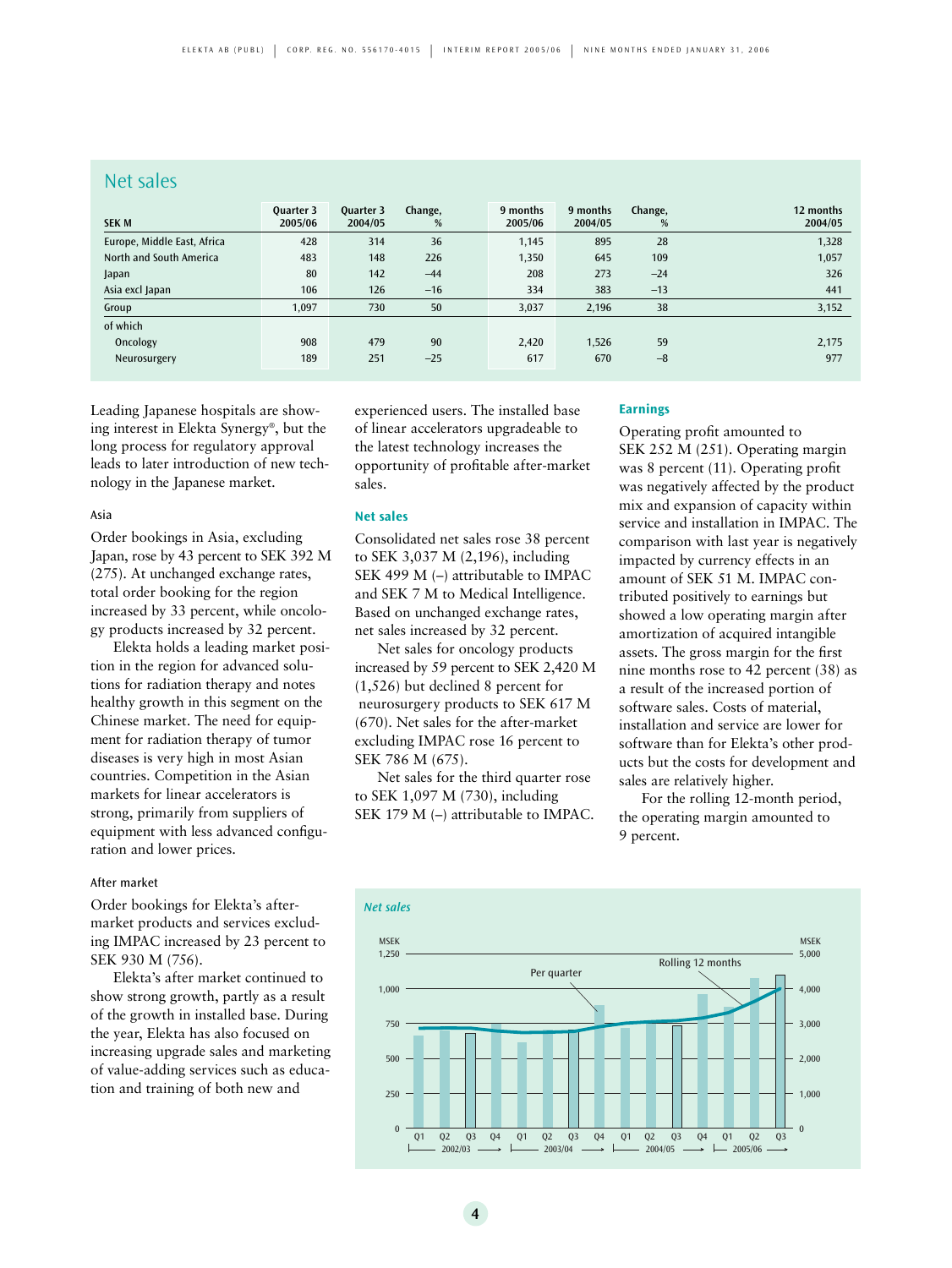### Net sales

| <b>SEK M</b>                | Quarter 3<br>2005/06 | Quarter 3<br>2004/05 | Change,<br>% | 9 months<br>2005/06 | 9 months<br>2004/05 | Change,<br>% | 12 months<br>2004/05 |
|-----------------------------|----------------------|----------------------|--------------|---------------------|---------------------|--------------|----------------------|
| Europe, Middle East, Africa | 428                  | 314                  | 36           | 1,145               | 895                 | 28           | 1,328                |
| North and South America     | 483                  | 148                  | 226          | 1,350               | 645                 | 109          | 1,057                |
| Japan                       | 80                   | 142                  | $-44$        | 208                 | 273                 | $-24$        | 326                  |
| Asia excl Japan             | 106                  | 126                  | $-16$        | 334                 | 383                 | $-13$        | 441                  |
| Group                       | 1.097                | 730                  | 50           | 3,037               | 2,196               | 38           | 3,152                |
| of which                    |                      |                      |              |                     |                     |              |                      |
| Oncology                    | 908                  | 479                  | 90           | 2,420               | 1,526               | 59           | 2,175                |
| Neurosurgery                | 189                  | 251                  | $-25$        | 617                 | 670                 | $-8$         | 977                  |

Leading Japanese hospitals are showing interest in Elekta Synergy®, but the long process for regulatory approval leads to later introduction of new technology in the Japanese market.

### Asia

Order bookings in Asia, excluding Japan, rose by 43 percent to SEK 392 M (275). At unchanged exchange rates, total order booking for the region increased by 33 percent, while oncology products increased by 32 percent.

Elekta holds a leading market position in the region for advanced solutions for radiation therapy and notes healthy growth in this segment on the Chinese market. The need for equipment for radiation therapy of tumor diseases is very high in most Asian countries. Competition in the Asian markets for linear accelerators is strong, primarily from suppliers of equipment with less advanced configuration and lower prices.

### After market

Order bookings for Elekta's aftermarket products and services excluding IMPAC increased by 23 percent to SEK 930 M (756).

Elekta's after market continued to show strong growth, partly as a result of the growth in installed base. During the year, Elekta has also focused on increasing upgrade sales and marketing of value-adding services such as education and training of both new and

experienced users. The installed base of linear accelerators upgradeable to the latest technology increases the opportunity of profitable after-market sales.

#### **Net sales**

Consolidated net sales rose 38 percent to SEK 3,037 M (2,196), including SEK 499 M (–) attributable to IMPAC and SEK 7 M to Medical Intelligence. Based on unchanged exchange rates, net sales increased by 32 percent.

Net sales for oncology products increased by 59 percent to SEK 2,420 M (1,526) but declined 8 percent for neurosurgery products to SEK 617 M (670). Net sales for the after-market excluding IMPAC rose 16 percent to SEK 786 M (675).

Net sales for the third quarter rose to SEK 1,097 M (730), including SEK 179 M (–) attributable to IMPAC.

#### **Earnings**

Operating profit amounted to SEK 252 M (251). Operating margin was 8 percent (11). Operating profit was negatively affected by the product mix and expansion of capacity within service and installation in IMPAC. The comparison with last year is negatively impacted by currency effects in an amount of SEK 51 M. IMPAC contributed positively to earnings but showed a low operating margin after amortization of acquired intangible assets. The gross margin for the first nine months rose to 42 percent (38) as a result of the increased portion of software sales. Costs of material, installation and service are lower for software than for Elekta's other products but the costs for development and sales are relatively higher.

For the rolling 12-month period, the operating margin amounted to 9 percent.

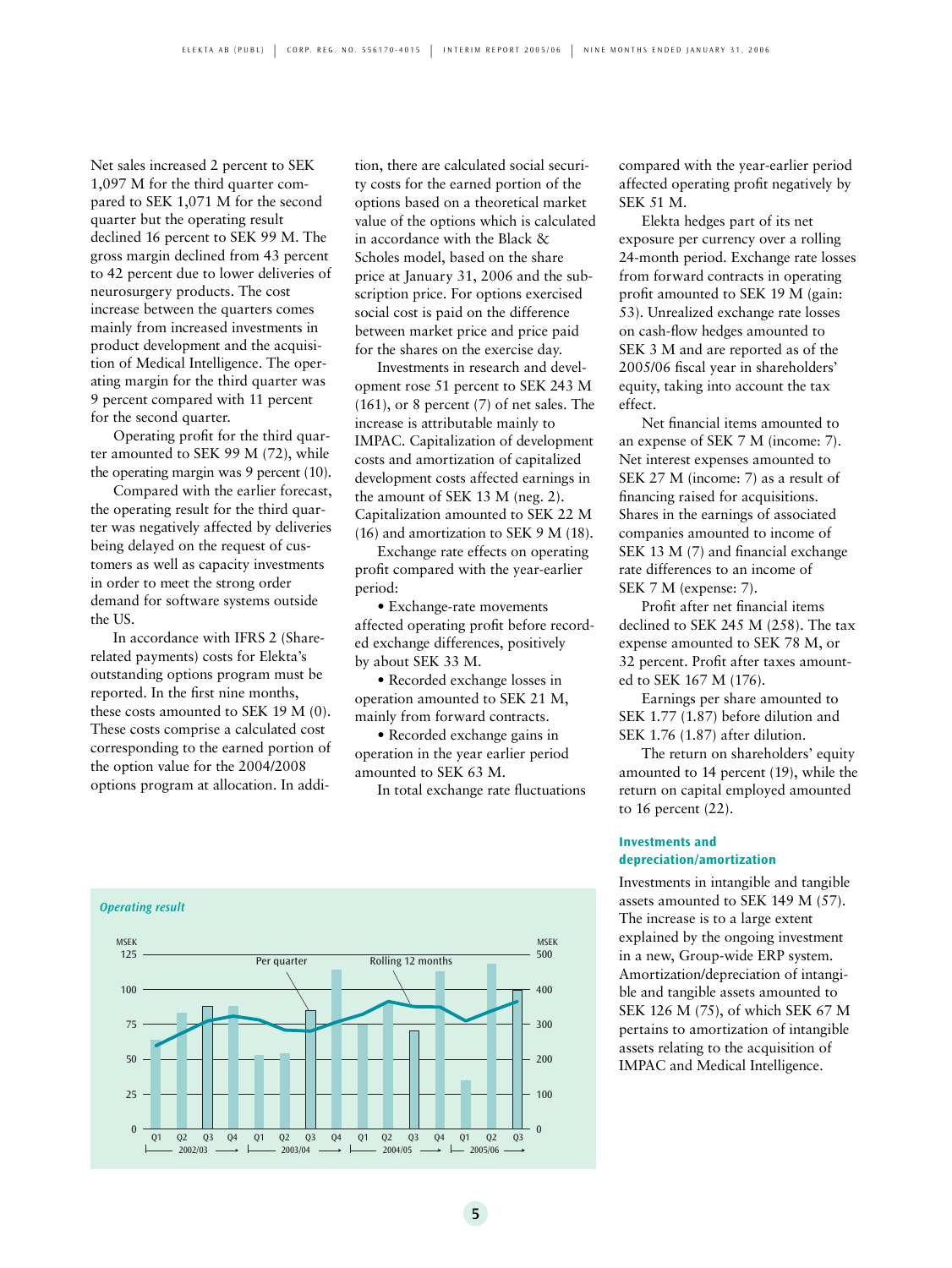Net sales increased 2 percent to SEK 1,097 M for the third quarter compared to SEK 1,071 M for the second quarter but the operating result declined 16 percent to SEK 99 M. The gross margin declined from 43 percent to 42 percent due to lower deliveries of neurosurgery products. The cost increase between the quarters comes mainly from increased investments in product development and the acquisition of Medical Intelligence. The operating margin for the third quarter was 9 percent compared with 11 percent for the second quarter.

Operating profit for the third quarter amounted to SEK 99 M (72), while the operating margin was 9 percent (10).

Compared with the earlier forecast, the operating result for the third quarter was negatively affected by deliveries being delayed on the request of customers as well as capacity investments in order to meet the strong order demand for software systems outside the US.

In accordance with IFRS 2 (Sharerelated payments) costs for Elekta's outstanding options program must be reported. In the first nine months, these costs amounted to SEK 19 M (0). These costs comprise a calculated cost corresponding to the earned portion of the option value for the 2004/2008 options program at allocation. In addition, there are calculated social security costs for the earned portion of the options based on a theoretical market value of the options which is calculated in accordance with the Black & Scholes model, based on the share price at January 31, 2006 and the subscription price. For options exercised social cost is paid on the difference between market price and price paid for the shares on the exercise day.

Investments in research and development rose 51 percent to SEK 243 M (161), or 8 percent (7) of net sales. The increase is attributable mainly to IMPAC. Capitalization of development costs and amortization of capitalized development costs affected earnings in the amount of SEK 13 M (neg. 2). Capitalization amounted to SEK 22 M (16) and amortization to SEK 9 M (18).

Exchange rate effects on operating profit compared with the year-earlier period:

• Exchange-rate movements affected operating profit before recorded exchange differences, positively by about SEK 33 M.

• Recorded exchange losses in operation amounted to SEK 21 M, mainly from forward contracts.

• Recorded exchange gains in operation in the year earlier period amounted to SEK 63 M.

In total exchange rate fluctuations



compared with the year-earlier period affected operating profit negatively by SEK 51 M.

Elekta hedges part of its net exposure per currency over a rolling 24-month period. Exchange rate losses from forward contracts in operating profit amounted to SEK 19 M (gain: 53). Unrealized exchange rate losses on cash-flow hedges amounted to SEK 3 M and are reported as of the 2005/06 fiscal year in shareholders' equity, taking into account the tax effect.

Net financial items amounted to an expense of SEK 7 M (income: 7). Net interest expenses amounted to SEK 27 M (income: 7) as a result of financing raised for acquisitions. Shares in the earnings of associated companies amounted to income of SEK 13 M (7) and financial exchange rate differences to an income of SEK 7 M (expense: 7).

Profit after net financial items declined to SEK 245 M (258). The tax expense amounted to SEK 78 M, or 32 percent. Profit after taxes amounted to SEK 167 M (176).

Earnings per share amounted to SEK 1.77 (1.87) before dilution and SEK 1.76 (1.87) after dilution.

The return on shareholders' equity amounted to 14 percent (19), while the return on capital employed amounted to 16 percent (22).

### **Investments and depreciation/amortization**

Investments in intangible and tangible assets amounted to SEK 149 M (57). The increase is to a large extent explained by the ongoing investment in a new, Group-wide ERP system. Amortization/depreciation of intangible and tangible assets amounted to SEK 126 M (75), of which SEK 67 M pertains to amortization of intangible assets relating to the acquisition of IMPAC and Medical Intelligence.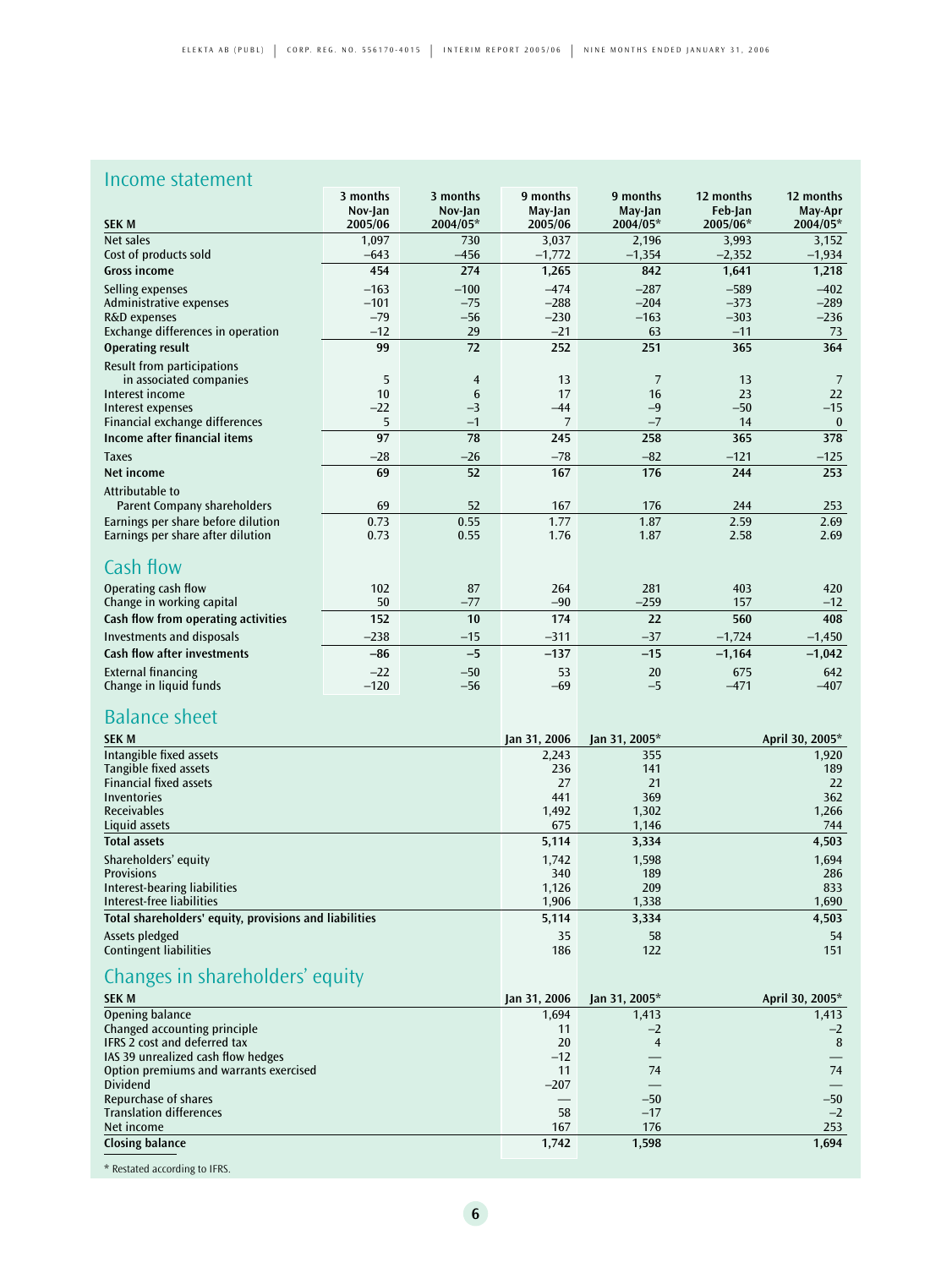### Income statement

|                                     | 3 months | 3 months       | 9 months | 9 months       | 12 months | 12 months |
|-------------------------------------|----------|----------------|----------|----------------|-----------|-----------|
|                                     | Nov-Jan  | Nov-Jan        | May-Jan  | May-Jan        | Feb-Jan   | May-Apr   |
| <b>SEK M</b>                        | 2005/06  | 2004/05*       | 2005/06  | 2004/05*       | 2005/06*  | 2004/05*  |
| Net sales                           | 1,097    | 730            | 3,037    | 2,196          | 3,993     | 3,152     |
| Cost of products sold               | $-643$   | $-456$         | $-1,772$ | $-1,354$       | $-2,352$  | $-1,934$  |
| <b>Gross income</b>                 | 454      | 274            | 1,265    | 842            | 1,641     | 1,218     |
| Selling expenses                    | $-163$   | $-100$         | $-474$   | $-287$         | $-589$    | $-402$    |
| Administrative expenses             | $-101$   | $-75$          | $-288$   | $-204$         | $-373$    | $-289$    |
| R&D expenses                        | $-79$    | $-56$          | $-230$   | $-163$         | $-303$    | $-236$    |
| Exchange differences in operation   | $-12$    | 29             | $-21$    | 63             | $-11$     | 73        |
| <b>Operating result</b>             | 99       | 72             | 252      | 251            | 365       | 364       |
| Result from participations          |          |                |          |                |           |           |
| in associated companies             | 5        | $\overline{4}$ | 13       | $\overline{7}$ | 13        | 7         |
| Interest income                     | 10       | 6              | 17       | 16             | 23        | 22        |
| Interest expenses                   | $-22$    | $-3$           | $-44$    | $-9$           | $-50$     | $-15$     |
| Financial exchange differences      | 5        | $-1$           | 7        | $-7$           | 14        | $\bf{0}$  |
| Income after financial items        | 97       | 78             | 245      | 258            | 365       | 378       |
| <b>Taxes</b>                        | $-28$    | $-26$          | $-78$    | $-82$          | $-121$    | $-125$    |
| Net income                          | 69       | 52             | 167      | 176            | 244       | 253       |
| Attributable to                     |          |                |          |                |           |           |
| <b>Parent Company shareholders</b>  | 69       | 52             | 167      | 176            | 244       | 253       |
| Earnings per share before dilution  | 0.73     | 0.55           | 1.77     | 1.87           | 2.59      | 2.69      |
| Earnings per share after dilution   | 0.73     | 0.55           | 1.76     | 1.87           | 2.58      | 2.69      |
| Cash flow                           |          |                |          |                |           |           |
| Operating cash flow                 | 102      | 87             | 264      | 281            | 403       | 420       |
| Change in working capital           | 50       | $-77$          | $-90$    | $-259$         | 157       | $-12$     |
| Cash flow from operating activities | 152      | 10             | 174      | 22             | 560       | 408       |
| <b>Investments and disposals</b>    | $-238$   | $-15$          | $-311$   | $-37$          | $-1,724$  | $-1,450$  |
| <b>Cash flow after investments</b>  | $-86$    | $-5$           | $-137$   | $-15$          | $-1,164$  | $-1,042$  |
| <b>External financing</b>           | $-22$    | $-50$          | 53       | 20             | 675       | 642       |
| Change in liquid funds              | $-120$   | $-56$          | $-69$    | $-5$           | $-471$    | $-407$    |

## Balance sheet

| <b>SEK M</b>                                           | $\chi$ an 31, 2006 | Jan 31, 2005* | April 30, 2005* |
|--------------------------------------------------------|--------------------|---------------|-----------------|
| Intangible fixed assets                                | 2,243              | 355           | 1,920           |
| Tangible fixed assets                                  | 236                | 141           | 189             |
| <b>Financial fixed assets</b>                          | 27                 | 21            | 22              |
| Inventories                                            | 441                | 369           | 362             |
| <b>Receivables</b>                                     | 1,492              | 1,302         | 1,266           |
| Liquid assets                                          | 675                | 1,146         | 744             |
| <b>Total assets</b>                                    | 5,114              | 3,334         | 4,503           |
| Shareholders' equity                                   | 1,742              | 1,598         | 1,694           |
| <b>Provisions</b>                                      | 340                | 189           | 286             |
| Interest-bearing liabilities                           | 1,126              | 209           | 833             |
| Interest-free liabilities                              | 1,906              | 1,338         | 1,690           |
| Total shareholders' equity, provisions and liabilities | 5,114              | 3,334         | 4,503           |
| Assets pledged                                         | 35                 | 58            | 54              |
| <b>Contingent liabilities</b>                          | 186                | 122           | 151             |
| Changes in shareholders' equity                        |                    |               |                 |

| <b>SEK M</b>                           | Jan 31, 2006 | Jan 31, 2005* | April 30, 2005* |
|----------------------------------------|--------------|---------------|-----------------|
| Opening balance                        | 1,694        | 1,413         | 1,413           |
| Changed accounting principle           | 11           | $-2$          | $-2$            |
| <b>IFRS 2 cost and deferred tax</b>    | 20           | 4             | 8               |
| IAS 39 unrealized cash flow hedges     | $-12$        |               |                 |
| Option premiums and warrants exercised | 11           | 74            | 74              |
| <b>Dividend</b>                        | $-207$       |               |                 |
| Repurchase of shares                   |              | $-50$         | $-50$           |
| <b>Translation differences</b>         | 58           | $-17$         | $-2$            |
| Net income                             | 167          | 176           | 253             |
| <b>Closing balance</b>                 | 1.742        | 1,598         | 1,694           |
|                                        |              |               |                 |

\* Restated according to IFRS.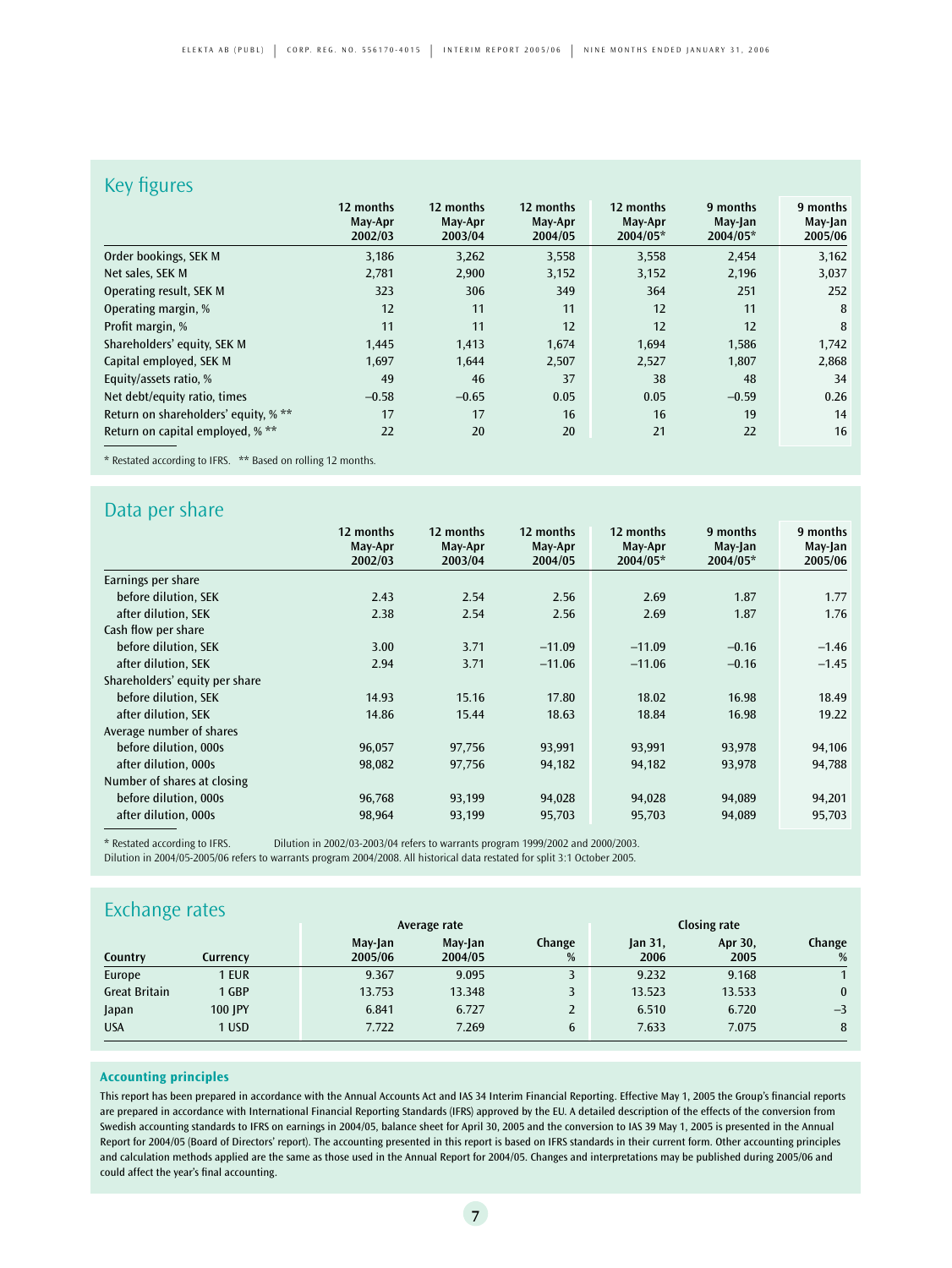### Key figures

| $\cdots$                             |                                 |                                 |                                 |                                  |                                 |                                |
|--------------------------------------|---------------------------------|---------------------------------|---------------------------------|----------------------------------|---------------------------------|--------------------------------|
|                                      | 12 months<br>May-Apr<br>2002/03 | 12 months<br>May-Apr<br>2003/04 | 12 months<br>May-Apr<br>2004/05 | 12 months<br>May-Apr<br>2004/05* | 9 months<br>May-Jan<br>2004/05* | 9 months<br>May-Jan<br>2005/06 |
| Order bookings, SEK M                | 3,186                           | 3,262                           | 3,558                           | 3,558                            | 2,454                           | 3,162                          |
| Net sales, SEK M                     | 2,781                           | 2,900                           | 3,152                           | 3,152                            | 2,196                           | 3,037                          |
| Operating result, SEK M              | 323                             | 306                             | 349                             | 364                              | 251                             | 252                            |
| Operating margin, %                  | 12                              | 11                              | 11                              | 12                               | 11                              | 8                              |
| Profit margin, %                     | 11                              | 11                              | 12                              | 12                               | 12                              | 8                              |
| Shareholders' equity, SEK M          | 1,445                           | 1,413                           | 1,674                           | 1,694                            | 1,586                           | 1,742                          |
| Capital employed, SEK M              | 1,697                           | 1,644                           | 2,507                           | 2,527                            | 1,807                           | 2,868                          |
| Equity/assets ratio, %               | 49                              | 46                              | 37                              | 38                               | 48                              | 34                             |
| Net debt/equity ratio, times         | $-0.58$                         | $-0.65$                         | 0.05                            | 0.05                             | $-0.59$                         | 0.26                           |
| Return on shareholders' equity, % ** | 17                              | 17                              | 16                              | 16                               | 19                              | 14                             |
| Return on capital employed, % **     | 22                              | 20                              | 20                              | 21                               | 22                              | 16                             |

\* Restated according to IFRS. \*\* Based on rolling 12 months.

### Data per share

|                                | 12 months<br>May-Apr<br>2002/03 | 12 months<br>May-Apr<br>2003/04 | 12 months<br>May-Apr<br>2004/05 | 12 months<br>May-Apr<br>2004/05* | 9 months<br>May-Jan<br>$2004/05*$ | 9 months<br>May-Jan<br>2005/06 |
|--------------------------------|---------------------------------|---------------------------------|---------------------------------|----------------------------------|-----------------------------------|--------------------------------|
| Earnings per share             |                                 |                                 |                                 |                                  |                                   |                                |
| before dilution, SEK           | 2.43                            | 2.54                            | 2.56                            | 2.69                             | 1.87                              | 1.77                           |
| after dilution, SEK            | 2.38                            | 2.54                            | 2.56                            | 2.69                             | 1.87                              | 1.76                           |
| Cash flow per share            |                                 |                                 |                                 |                                  |                                   |                                |
| before dilution, SEK           | 3.00                            | 3.71                            | $-11.09$                        | $-11.09$                         | $-0.16$                           | $-1.46$                        |
| after dilution, SEK            | 2.94                            | 3.71                            | $-11.06$                        | $-11.06$                         | $-0.16$                           | $-1.45$                        |
| Shareholders' equity per share |                                 |                                 |                                 |                                  |                                   |                                |
| before dilution, SEK           | 14.93                           | 15.16                           | 17.80                           | 18.02                            | 16.98                             | 18.49                          |
| after dilution, SEK            | 14.86                           | 15.44                           | 18.63                           | 18.84                            | 16.98                             | 19.22                          |
| Average number of shares       |                                 |                                 |                                 |                                  |                                   |                                |
| before dilution, 000s          | 96,057                          | 97,756                          | 93,991                          | 93,991                           | 93,978                            | 94,106                         |
| after dilution, 000s           | 98,082                          | 97,756                          | 94,182                          | 94,182                           | 93,978                            | 94,788                         |
| Number of shares at closing    |                                 |                                 |                                 |                                  |                                   |                                |
| before dilution, 000s          | 96,768                          | 93,199                          | 94,028                          | 94,028                           | 94,089                            | 94,201                         |
| after dilution, 000s           | 98,964                          | 93,199                          | 95,703                          | 95,703                           | 94,089                            | 95,703                         |

\* Restated according to IFRS. Dilution in 2002/03-2003/04 refers to warrants program 1999/2002 and 2000/2003. Dilution in 2004/05-2005/06 refers to warrants program 2004/2008. All historical data restated for split 3:1 October 2005.

### **Exchange rates**

| $\tilde{\phantom{a}}$ |          | Average rate       |                    |             | Closing rate              |                 |             |  |
|-----------------------|----------|--------------------|--------------------|-------------|---------------------------|-----------------|-------------|--|
| Country               | Currency | May-Jan<br>2005/06 | May-Jan<br>2004/05 | Change<br>% | jan <sub>31</sub><br>2006 | Apr 30,<br>2005 | Change<br>% |  |
| Europe                | 1 EUR    | 9.367              | 9.095              |             | 9.232                     | 9.168           |             |  |
| <b>Great Britain</b>  | 1 GBP    | 13.753             | 13.348             |             | 13.523                    | 13.533          | $\bf{0}$    |  |
| Japan                 | 100 IPY  | 6.841              | 6.727              |             | 6.510                     | 6.720           | $-3$        |  |
| <b>USA</b>            | 1 USD    | 7.722              | 7.269              | 6           | 7.633                     | 7.075           | 8           |  |

### **Accounting principles**

This report has been prepared in accordance with the Annual Accounts Act and IAS 34 Interim Financial Reporting. Effective May 1, 2005 the Group's financial reports are prepared in accordance with International Financial Reporting Standards (IFRS) approved by the EU. A detailed description of the effects of the conversion from Swedish accounting standards to IFRS on earnings in 2004/05, balance sheet for April 30, 2005 and the conversion to IAS 39 May 1, 2005 is presented in the Annual Report for 2004/05 (Board of Directors' report). The accounting presented in this report is based on IFRS standards in their current form. Other accounting principles and calculation methods applied are the same as those used in the Annual Report for 2004/05. Changes and interpretations may be published during 2005/06 and could affect the year's final accounting.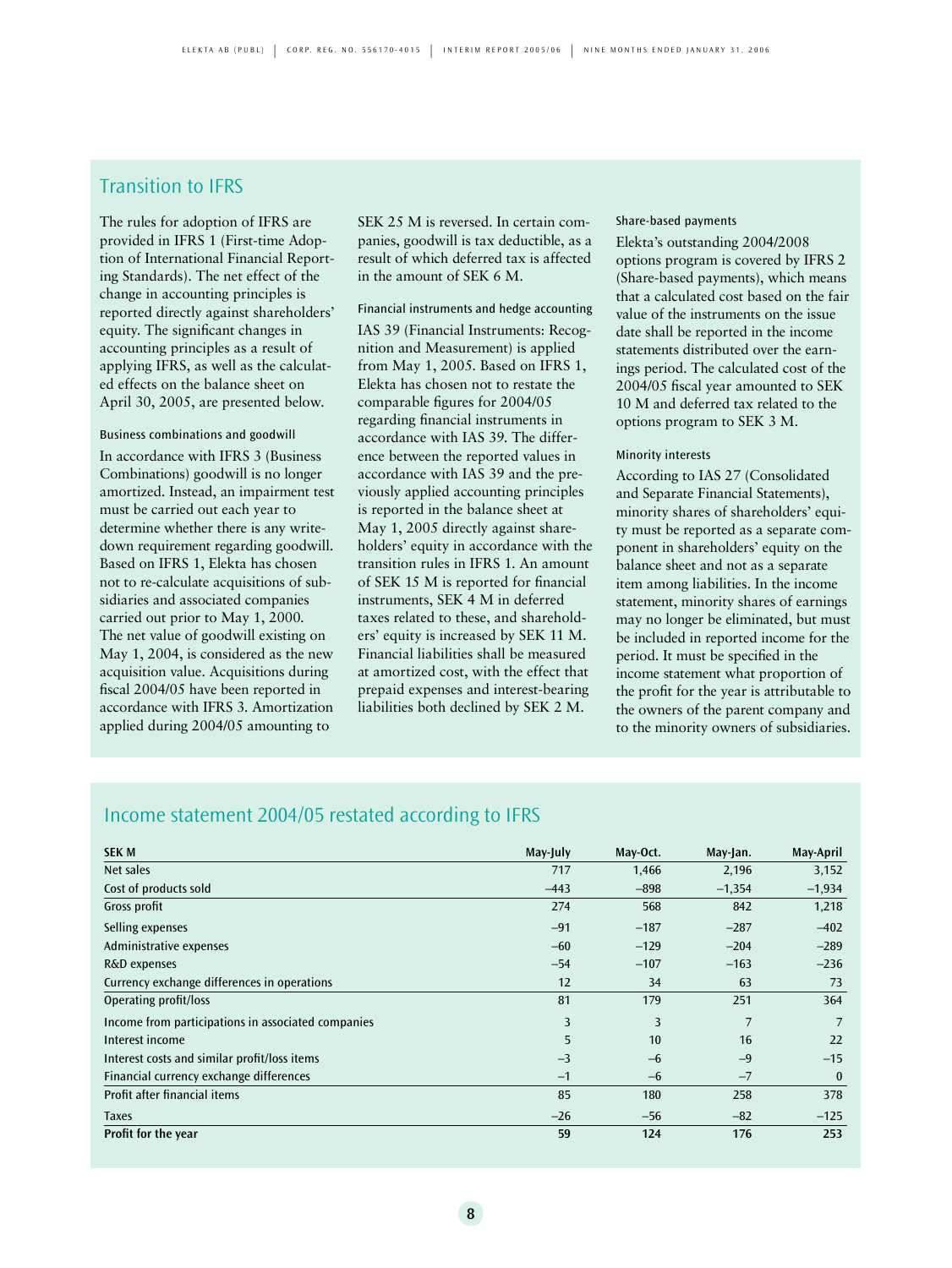### Transition to IFRS

The rules for adoption of IFRS are provided in IFRS 1 (First-time Adoption of International Financial Reporting Standards). The net effect of the change in accounting principles is reported directly against shareholders' equity. The significant changes in accounting principles as a result of applying IFRS, as well as the calculated effects on the balance sheet on April 30, 2005, are presented below.

#### Business combinations and goodwill

In accordance with IFRS 3 (Business Combinations) goodwill is no longer amortized. Instead, an impairment test must be carried out each year to determine whether there is any writedown requirement regarding goodwill. Based on IFRS 1, Elekta has chosen not to re-calculate acquisitions of subsidiaries and associated companies carried out prior to May 1, 2000. The net value of goodwill existing on May 1, 2004, is considered as the new acquisition value. Acquisitions during fiscal 2004/05 have been reported in accordance with IFRS 3. Amortization applied during 2004/05 amounting to

SEK 25 M is reversed. In certain companies, goodwill is tax deductible, as a result of which deferred tax is affected in the amount of SEK 6 M.

### Financial instruments and hedge accounting

IAS 39 (Financial Instruments: Recognition and Measurement) is applied from May 1, 2005. Based on IFRS 1, Elekta has chosen not to restate the comparable figures for 2004/05 regarding financial instruments in accordance with IAS 39. The difference between the reported values in accordance with IAS 39 and the previously applied accounting principles is reported in the balance sheet at May 1, 2005 directly against shareholders' equity in accordance with the transition rules in IFRS 1. An amount of SEK 15 M is reported for financial instruments, SEK 4 M in deferred taxes related to these, and shareholders' equity is increased by SEK 11 M. Financial liabilities shall be measured at amortized cost, with the effect that prepaid expenses and interest-bearing liabilities both declined by SEK 2 M.

#### Share-based payments

Elekta's outstanding 2004/2008 options program is covered by IFRS 2 (Share-based payments), which means that a calculated cost based on the fair value of the instruments on the issue date shall be reported in the income statements distributed over the earnings period. The calculated cost of the 2004/05 fiscal year amounted to SEK 10 M and deferred tax related to the options program to SEK 3 M.

### Minority interests

According to IAS 27 (Consolidated and Separate Financial Statements), minority shares of shareholders' equity must be reported as a separate component in shareholders' equity on the balance sheet and not as a separate item among liabilities. In the income statement, minority shares of earnings may no longer be eliminated, but must be included in reported income for the period. It must be specified in the income statement what proportion of the profit for the year is attributable to the owners of the parent company and to the minority owners of subsidiaries.

### Income statement 2004/05 restated according to IFRS

| <b>SEK M</b>                                       | May-July | May-Oct. | May-Jan. | May-April |
|----------------------------------------------------|----------|----------|----------|-----------|
| Net sales                                          | 717      | 1,466    | 2,196    | 3,152     |
| Cost of products sold                              | $-443$   | $-898$   | $-1,354$ | $-1,934$  |
| Gross profit                                       | 274      | 568      | 842      | 1,218     |
| Selling expenses                                   | $-91$    | $-187$   | $-287$   | $-402$    |
| Administrative expenses                            | $-60$    | $-129$   | $-204$   | $-289$    |
| R&D expenses                                       | $-54$    | $-107$   | $-163$   | $-236$    |
| Currency exchange differences in operations        | 12       | 34       | 63       | 73        |
| Operating profit/loss                              | 81       | 179      | 251      | 364       |
| Income from participations in associated companies | 3        | 3        | 7        | 7         |
| Interest income                                    | 5        | 10       | 16       | 22        |
| Interest costs and similar profit/loss items       | $-3$     | $-6$     | $-9$     | $-15$     |
| Financial currency exchange differences            | $-1$     | $-6$     | $-7$     | $\bf{0}$  |
| Profit after financial items                       | 85       | 180      | 258      | 378       |
| <b>Taxes</b>                                       | $-26$    | $-56$    | $-82$    | $-125$    |
| Profit for the year                                | 59       | 124      | 176      | 253       |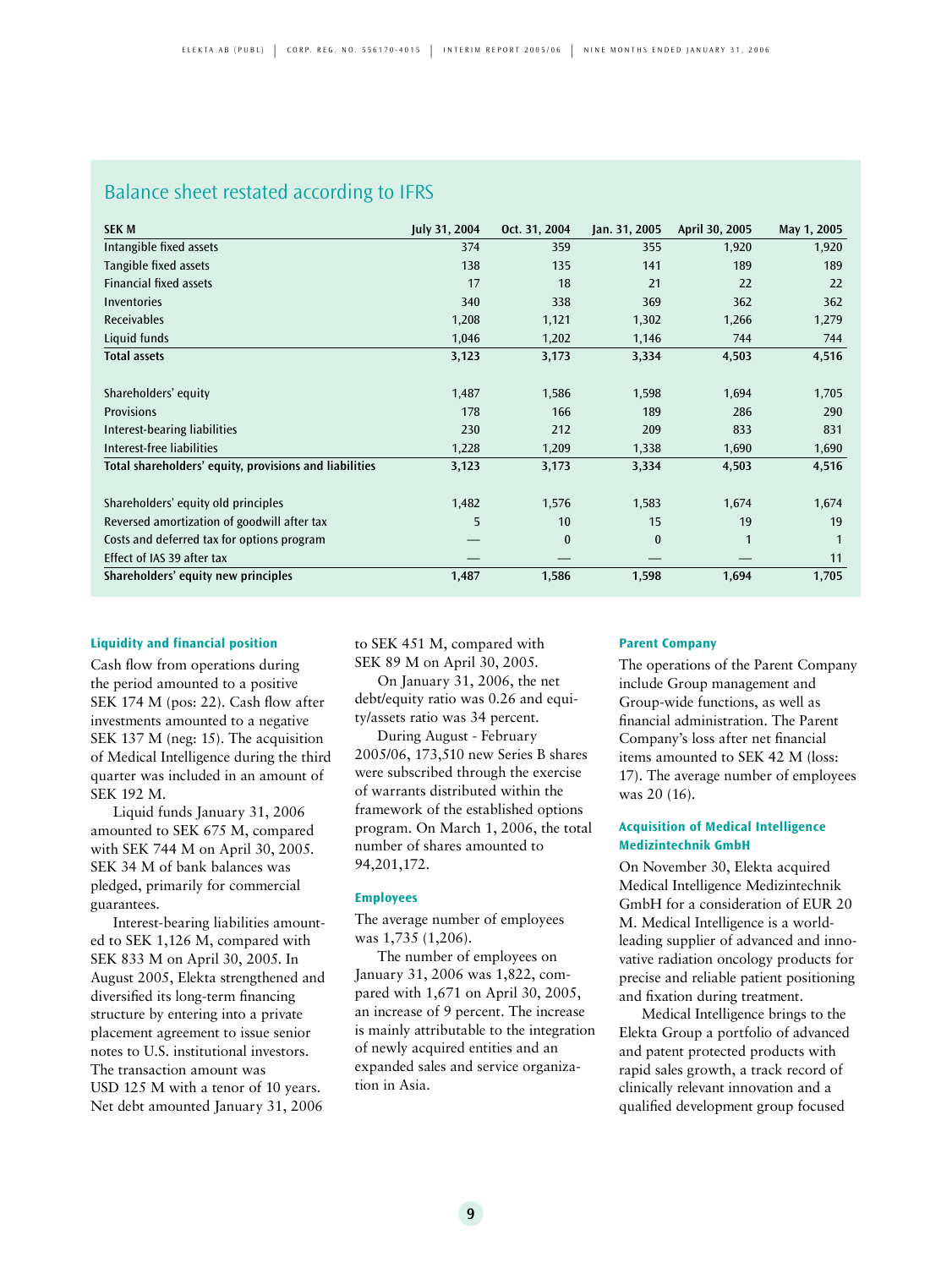### Balance sheet restated according to IFRS

| <b>SEK M</b>                                           | July 31, 2004 | Oct. 31, 2004 | Jan. 31, 2005 | April 30, 2005 | May 1, 2005 |
|--------------------------------------------------------|---------------|---------------|---------------|----------------|-------------|
| Intangible fixed assets                                | 374           | 359           | 355           | 1,920          | 1,920       |
| Tangible fixed assets                                  | 138           | 135           | 141           | 189            | 189         |
| <b>Financial fixed assets</b>                          | 17            | 18            | 21            | 22             | 22          |
| Inventories                                            | 340           | 338           | 369           | 362            | 362         |
| <b>Receivables</b>                                     | 1,208         | 1,121         | 1,302         | 1,266          | 1,279       |
| Liquid funds                                           | 1,046         | 1,202         | 1,146         | 744            | 744         |
| <b>Total assets</b>                                    | 3,123         | 3,173         | 3,334         | 4,503          | 4,516       |
|                                                        |               |               |               |                |             |
| Shareholders' equity                                   | 1,487         | 1,586         | 1,598         | 1,694          | 1,705       |
| <b>Provisions</b>                                      | 178           | 166           | 189           | 286            | 290         |
| Interest-bearing liabilities                           | 230           | 212           | 209           | 833            | 831         |
| Interest-free liabilities                              | 1,228         | 1,209         | 1,338         | 1,690          | 1,690       |
| Total shareholders' equity, provisions and liabilities | 3,123         | 3,173         | 3,334         | 4,503          | 4,516       |
|                                                        |               |               |               |                |             |
| Shareholders' equity old principles                    | 1,482         | 1,576         | 1,583         | 1,674          | 1,674       |
| Reversed amortization of goodwill after tax            | 5             | 10            | 15            | 19             | 19          |
| Costs and deferred tax for options program             |               | $\bf{0}$      | $\mathbf{0}$  | $\mathbf{1}$   |             |
| Effect of IAS 39 after tax                             |               |               |               |                | 11          |
| Shareholders' equity new principles                    | 1,487         | 1,586         | 1,598         | 1,694          | 1,705       |

### **Liquidity and financial position**

Cash flow from operations during the period amounted to a positive SEK 174 M (pos: 22). Cash flow after investments amounted to a negative SEK 137 M (neg: 15). The acquisition of Medical Intelligence during the third quarter was included in an amount of SEK 192 M.

Liquid funds January 31, 2006 amounted to SEK 675 M, compared with SEK 744 M on April 30, 2005. SEK 34 M of bank balances was pledged, primarily for commercial guarantees.

Interest-bearing liabilities amounted to SEK 1,126 M, compared with SEK 833 M on April 30, 2005. In August 2005, Elekta strengthened and diversified its long-term financing structure by entering into a private placement agreement to issue senior notes to U.S. institutional investors. The transaction amount was USD 125 M with a tenor of 10 years. Net debt amounted January 31, 2006

to SEK 451 M, compared with SEK 89 M on April 30, 2005.

On January 31, 2006, the net debt/equity ratio was 0.26 and equity/assets ratio was 34 percent.

During August - February 2005/06, 173,510 new Series B shares were subscribed through the exercise of warrants distributed within the framework of the established options program. On March 1, 2006, the total number of shares amounted to 94,201,172.

#### **Employees**

The average number of employees was 1,735 (1,206).

The number of employees on January 31, 2006 was 1,822, compared with 1,671 on April 30, 2005, an increase of 9 percent. The increase is mainly attributable to the integration of newly acquired entities and an expanded sales and service organization in Asia.

### **Parent Company**

The operations of the Parent Company include Group management and Group-wide functions, as well as financial administration. The Parent Company's loss after net financial items amounted to SEK 42 M (loss: 17). The average number of employees was 20 (16).

### **Acquisition of Medical Intelligence Medizintechnik GmbH**

On November 30, Elekta acquired Medical Intelligence Medizintechnik GmbH for a consideration of EUR 20 M. Medical Intelligence is a worldleading supplier of advanced and innovative radiation oncology products for precise and reliable patient positioning and fixation during treatment.

Medical Intelligence brings to the Elekta Group a portfolio of advanced and patent protected products with rapid sales growth, a track record of clinically relevant innovation and a qualified development group focused